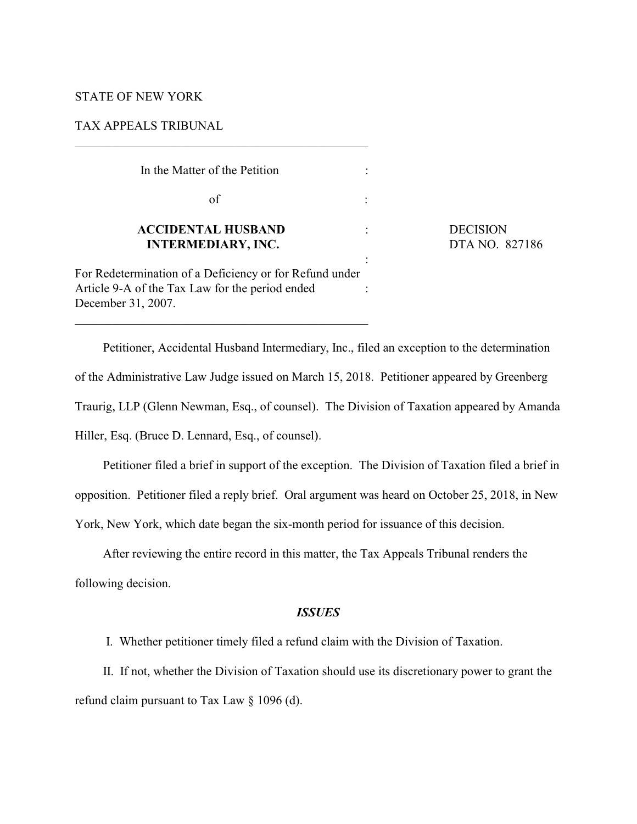### STATE OF NEW YORK

# TAX APPEALS TRIBUNAL

| In the Matter of the Petition                                                                                                    |  |
|----------------------------------------------------------------------------------------------------------------------------------|--|
| of                                                                                                                               |  |
| <b>ACCIDENTAL HUSBAND</b><br><b>INTERMEDIARY, INC.</b>                                                                           |  |
| For Redetermination of a Deficiency or for Refund under<br>Article 9-A of the Tax Law for the period ended<br>December 31, 2007. |  |

\_\_\_\_\_\_\_\_\_\_\_\_\_\_\_\_\_\_\_\_\_\_\_\_\_\_\_\_\_\_\_\_\_\_\_\_\_\_\_\_\_\_\_\_\_\_\_

**DECISION DTA NO. 827186** 

Petitioner, Accidental Husband Intermediary, Inc., filed an exception to the determination of the Administrative Law Judge issued on March 15, 2018. Petitioner appeared by Greenberg Traurig, LLP (Glenn Newman, Esq., of counsel). The Division of Taxation appeared by Amanda Hiller, Esq. (Bruce D. Lennard, Esq., of counsel).

Petitioner filed a brief in support of the exception. The Division of Taxation filed a brief in opposition. Petitioner filed a reply brief. Oral argument was heard on October 25, 2018, in New York, New York, which date began the six-month period for issuance of this decision.

After reviewing the entire record in this matter, the Tax Appeals Tribunal renders the

following decision.

# *ISSUES*

I. Whether petitioner timely filed a refund claim with the Division of Taxation.

II. If not, whether the Division of Taxation should use its discretionary power to grant the refund claim pursuant to Tax Law § 1096 (d).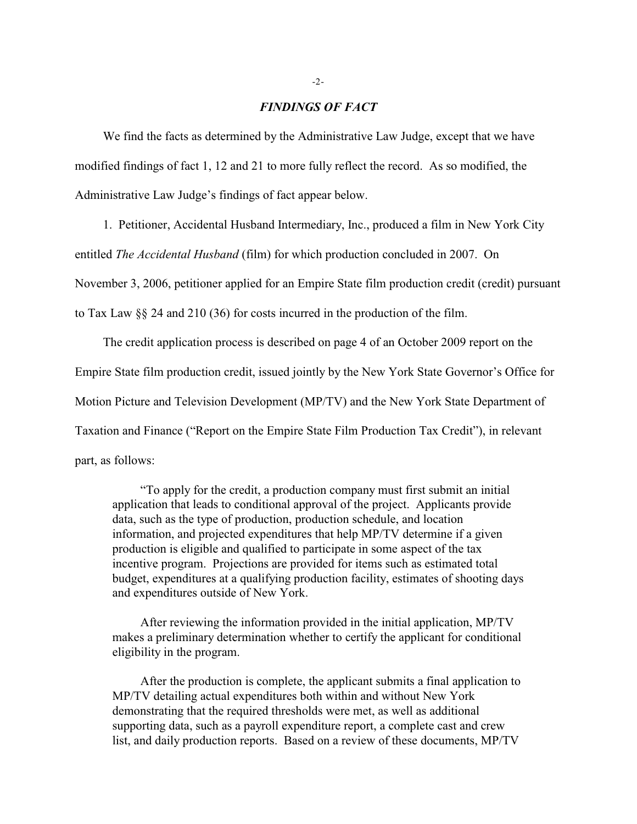### *FINDINGS OF FACT*

We find the facts as determined by the Administrative Law Judge, except that we have modified findings of fact 1, 12 and 21 to more fully reflect the record. As so modified, the Administrative Law Judge's findings of fact appear below.

1. Petitioner, Accidental Husband Intermediary, Inc., produced a film in New York City

entitled *The Accidental Husband* (film) for which production concluded in 2007. On

November 3, 2006, petitioner applied for an Empire State film production credit (credit) pursuant

to Tax Law §§ 24 and 210 (36) for costs incurred in the production of the film.

The credit application process is described on page 4 of an October 2009 report on the Empire State film production credit, issued jointly by the New York State Governor's Office for Motion Picture and Television Development (MP/TV) and the New York State Department of Taxation and Finance ("Report on the Empire State Film Production Tax Credit"), in relevant part, as follows:

"To apply for the credit, a production company must first submit an initial application that leads to conditional approval of the project. Applicants provide data, such as the type of production, production schedule, and location information, and projected expenditures that help MP/TV determine if a given production is eligible and qualified to participate in some aspect of the tax incentive program. Projections are provided for items such as estimated total budget, expenditures at a qualifying production facility, estimates of shooting days and expenditures outside of New York.

After reviewing the information provided in the initial application, MP/TV makes a preliminary determination whether to certify the applicant for conditional eligibility in the program.

After the production is complete, the applicant submits a final application to MP/TV detailing actual expenditures both within and without New York demonstrating that the required thresholds were met, as well as additional supporting data, such as a payroll expenditure report, a complete cast and crew list, and daily production reports. Based on a review of these documents, MP/TV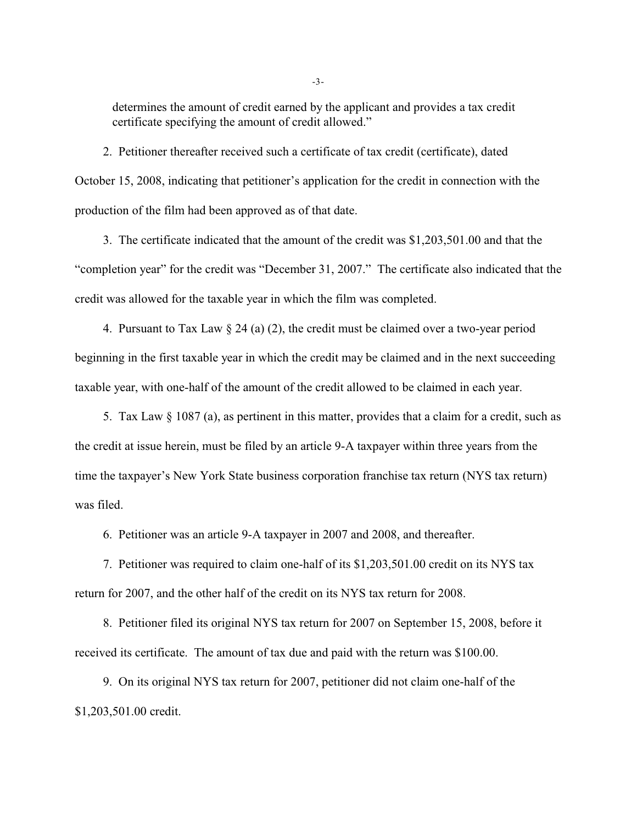determines the amount of credit earned by the applicant and provides a tax credit certificate specifying the amount of credit allowed."

2. Petitioner thereafter received such a certificate of tax credit (certificate), dated October 15, 2008, indicating that petitioner's application for the credit in connection with the production of the film had been approved as of that date.

3. The certificate indicated that the amount of the credit was \$1,203,501.00 and that the "completion year" for the credit was "December 31, 2007." The certificate also indicated that the credit was allowed for the taxable year in which the film was completed.

4. Pursuant to Tax Law  $\S 24$  (a) (2), the credit must be claimed over a two-year period beginning in the first taxable year in which the credit may be claimed and in the next succeeding taxable year, with one-half of the amount of the credit allowed to be claimed in each year.

5. Tax Law § 1087 (a), as pertinent in this matter, provides that a claim for a credit, such as the credit at issue herein, must be filed by an article 9-A taxpayer within three years from the time the taxpayer's New York State business corporation franchise tax return (NYS tax return) was filed.

6. Petitioner was an article 9-A taxpayer in 2007 and 2008, and thereafter.

7. Petitioner was required to claim one-half of its \$1,203,501.00 credit on its NYS tax return for 2007, and the other half of the credit on its NYS tax return for 2008.

8. Petitioner filed its original NYS tax return for 2007 on September 15, 2008, before it received its certificate. The amount of tax due and paid with the return was \$100.00.

9. On its original NYS tax return for 2007, petitioner did not claim one-half of the \$1,203,501.00 credit.

-3-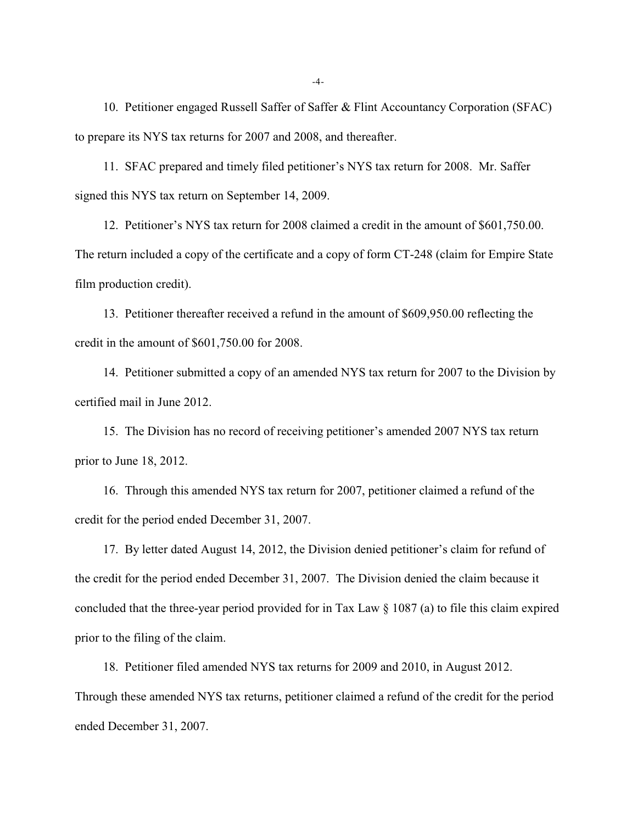10. Petitioner engaged Russell Saffer of Saffer & Flint Accountancy Corporation (SFAC) to prepare its NYS tax returns for 2007 and 2008, and thereafter.

11. SFAC prepared and timely filed petitioner's NYS tax return for 2008. Mr. Saffer signed this NYS tax return on September 14, 2009.

12. Petitioner's NYS tax return for 2008 claimed a credit in the amount of \$601,750.00. The return included a copy of the certificate and a copy of form CT-248 (claim for Empire State film production credit).

13. Petitioner thereafter received a refund in the amount of \$609,950.00 reflecting the credit in the amount of \$601,750.00 for 2008.

14. Petitioner submitted a copy of an amended NYS tax return for 2007 to the Division by certified mail in June 2012.

15. The Division has no record of receiving petitioner's amended 2007 NYS tax return prior to June 18, 2012.

16. Through this amended NYS tax return for 2007, petitioner claimed a refund of the credit for the period ended December 31, 2007.

17. By letter dated August 14, 2012, the Division denied petitioner's claim for refund of the credit for the period ended December 31, 2007. The Division denied the claim because it concluded that the three-year period provided for in Tax Law § 1087 (a) to file this claim expired prior to the filing of the claim.

18. Petitioner filed amended NYS tax returns for 2009 and 2010, in August 2012. Through these amended NYS tax returns, petitioner claimed a refund of the credit for the period ended December 31, 2007.

-4-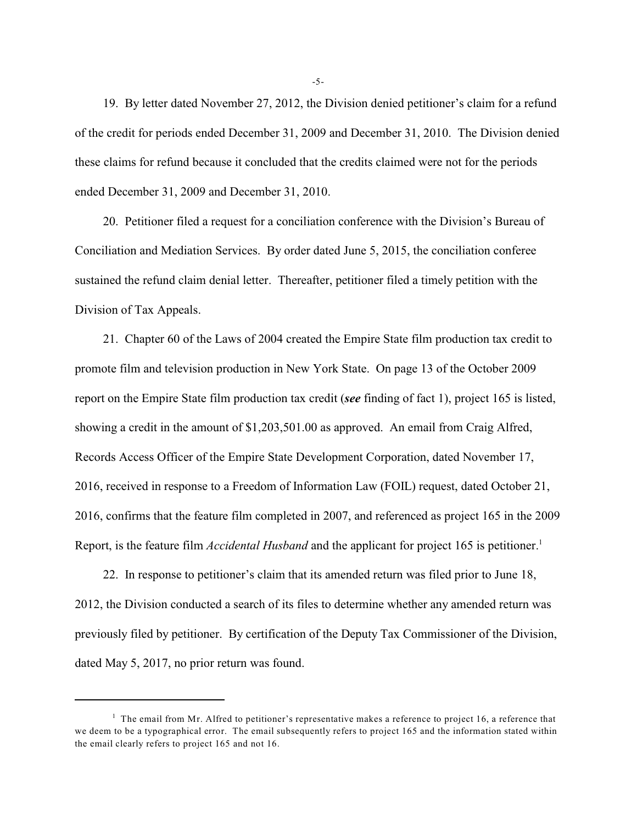19. By letter dated November 27, 2012, the Division denied petitioner's claim for a refund of the credit for periods ended December 31, 2009 and December 31, 2010. The Division denied these claims for refund because it concluded that the credits claimed were not for the periods ended December 31, 2009 and December 31, 2010.

20. Petitioner filed a request for a conciliation conference with the Division's Bureau of Conciliation and Mediation Services. By order dated June 5, 2015, the conciliation conferee sustained the refund claim denial letter. Thereafter, petitioner filed a timely petition with the Division of Tax Appeals.

21. Chapter 60 of the Laws of 2004 created the Empire State film production tax credit to promote film and television production in New York State. On page 13 of the October 2009 report on the Empire State film production tax credit (*see* finding of fact 1), project 165 is listed, showing a credit in the amount of \$1,203,501.00 as approved. An email from Craig Alfred, Records Access Officer of the Empire State Development Corporation, dated November 17, 2016, received in response to a Freedom of Information Law (FOIL) request, dated October 21, 2016, confirms that the feature film completed in 2007, and referenced as project 165 in the 2009 Report, is the feature film *Accidental Husband* and the applicant for project 165 is petitioner.<sup>1</sup>

22. In response to petitioner's claim that its amended return was filed prior to June 18, 2012, the Division conducted a search of its files to determine whether any amended return was previously filed by petitioner. By certification of the Deputy Tax Commissioner of the Division, dated May 5, 2017, no prior return was found.

-5-

 $1$  The email from Mr. Alfred to petitioner's representative makes a reference to project 16, a reference that we deem to be a typographical error. The email subsequently refers to project 165 and the information stated within the email clearly refers to project 165 and not 16.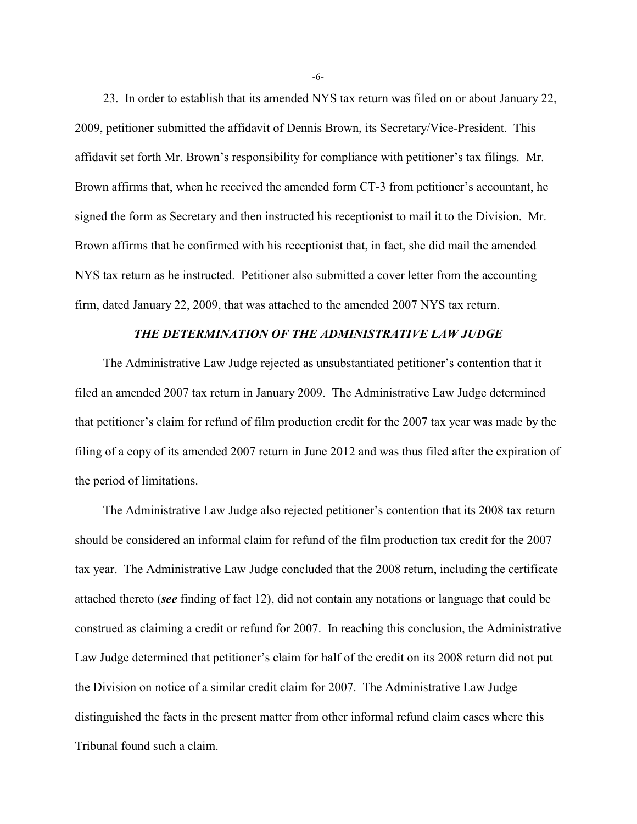23. In order to establish that its amended NYS tax return was filed on or about January 22, 2009, petitioner submitted the affidavit of Dennis Brown, its Secretary/Vice-President. This affidavit set forth Mr. Brown's responsibility for compliance with petitioner's tax filings. Mr. Brown affirms that, when he received the amended form CT-3 from petitioner's accountant, he signed the form as Secretary and then instructed his receptionist to mail it to the Division. Mr. Brown affirms that he confirmed with his receptionist that, in fact, she did mail the amended NYS tax return as he instructed. Petitioner also submitted a cover letter from the accounting firm, dated January 22, 2009, that was attached to the amended 2007 NYS tax return.

# *THE DETERMINATION OF THE ADMINISTRATIVE LAW JUDGE*

The Administrative Law Judge rejected as unsubstantiated petitioner's contention that it filed an amended 2007 tax return in January 2009. The Administrative Law Judge determined that petitioner's claim for refund of film production credit for the 2007 tax year was made by the filing of a copy of its amended 2007 return in June 2012 and was thus filed after the expiration of the period of limitations.

The Administrative Law Judge also rejected petitioner's contention that its 2008 tax return should be considered an informal claim for refund of the film production tax credit for the 2007 tax year. The Administrative Law Judge concluded that the 2008 return, including the certificate attached thereto (*see* finding of fact 12), did not contain any notations or language that could be construed as claiming a credit or refund for 2007. In reaching this conclusion, the Administrative Law Judge determined that petitioner's claim for half of the credit on its 2008 return did not put the Division on notice of a similar credit claim for 2007. The Administrative Law Judge distinguished the facts in the present matter from other informal refund claim cases where this Tribunal found such a claim.

-6-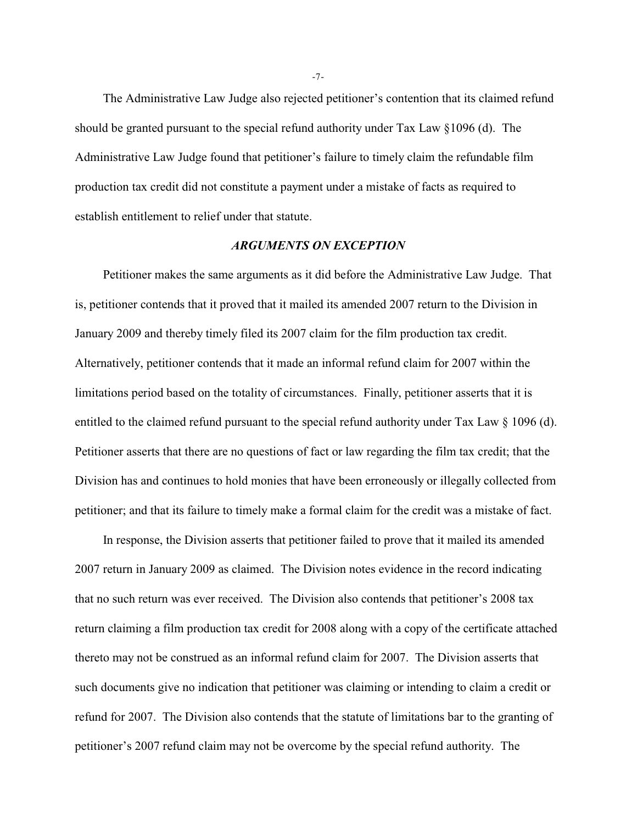The Administrative Law Judge also rejected petitioner's contention that its claimed refund should be granted pursuant to the special refund authority under Tax Law §1096 (d). The Administrative Law Judge found that petitioner's failure to timely claim the refundable film production tax credit did not constitute a payment under a mistake of facts as required to establish entitlement to relief under that statute.

### *ARGUMENTS ON EXCEPTION*

Petitioner makes the same arguments as it did before the Administrative Law Judge. That is, petitioner contends that it proved that it mailed its amended 2007 return to the Division in January 2009 and thereby timely filed its 2007 claim for the film production tax credit. Alternatively, petitioner contends that it made an informal refund claim for 2007 within the limitations period based on the totality of circumstances. Finally, petitioner asserts that it is entitled to the claimed refund pursuant to the special refund authority under Tax Law § 1096 (d). Petitioner asserts that there are no questions of fact or law regarding the film tax credit; that the Division has and continues to hold monies that have been erroneously or illegally collected from petitioner; and that its failure to timely make a formal claim for the credit was a mistake of fact.

In response, the Division asserts that petitioner failed to prove that it mailed its amended 2007 return in January 2009 as claimed. The Division notes evidence in the record indicating that no such return was ever received. The Division also contends that petitioner's 2008 tax return claiming a film production tax credit for 2008 along with a copy of the certificate attached thereto may not be construed as an informal refund claim for 2007. The Division asserts that such documents give no indication that petitioner was claiming or intending to claim a credit or refund for 2007. The Division also contends that the statute of limitations bar to the granting of petitioner's 2007 refund claim may not be overcome by the special refund authority. The

-7-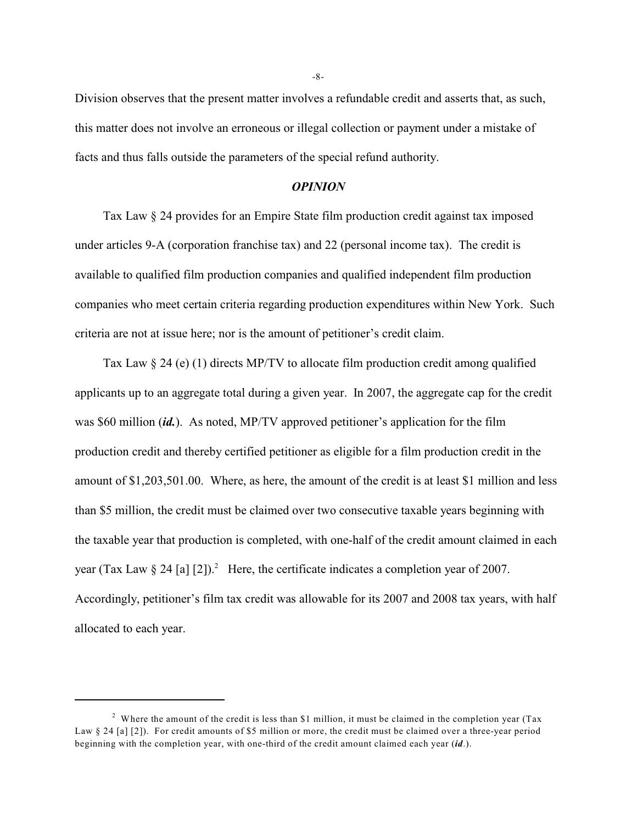Division observes that the present matter involves a refundable credit and asserts that, as such, this matter does not involve an erroneous or illegal collection or payment under a mistake of facts and thus falls outside the parameters of the special refund authority.

#### *OPINION*

Tax Law § 24 provides for an Empire State film production credit against tax imposed under articles 9-A (corporation franchise tax) and 22 (personal income tax). The credit is available to qualified film production companies and qualified independent film production companies who meet certain criteria regarding production expenditures within New York. Such criteria are not at issue here; nor is the amount of petitioner's credit claim.

Tax Law § 24 (e) (1) directs MP/TV to allocate film production credit among qualified applicants up to an aggregate total during a given year. In 2007, the aggregate cap for the credit was \$60 million (*id.*). As noted, MP/TV approved petitioner's application for the film production credit and thereby certified petitioner as eligible for a film production credit in the amount of \$1,203,501.00. Where, as here, the amount of the credit is at least \$1 million and less than \$5 million, the credit must be claimed over two consecutive taxable years beginning with the taxable year that production is completed, with one-half of the credit amount claimed in each year (Tax Law  $\S 24$  [a] [2]).<sup>2</sup> Here, the certificate indicates a completion year of 2007. Accordingly, petitioner's film tax credit was allowable for its 2007 and 2008 tax years, with half allocated to each year.

-8-

<sup>&</sup>lt;sup>2</sup> Where the amount of the credit is less than \$1 million, it must be claimed in the completion year (Tax Law § 24 [a] [2]). For credit amounts of \$5 million or more, the credit must be claimed over a three-year period beginning with the completion year, with one-third of the credit amount claimed each year (*id*.).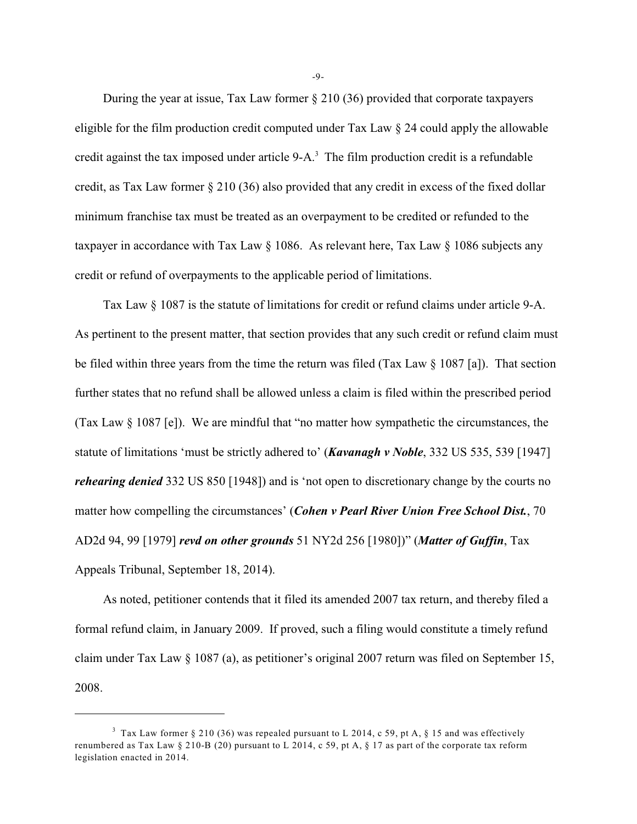During the year at issue, Tax Law former § 210 (36) provided that corporate taxpayers eligible for the film production credit computed under Tax Law § 24 could apply the allowable credit against the tax imposed under article 9-A.<sup>3</sup> The film production credit is a refundable credit, as Tax Law former § 210 (36) also provided that any credit in excess of the fixed dollar minimum franchise tax must be treated as an overpayment to be credited or refunded to the taxpayer in accordance with Tax Law § 1086. As relevant here, Tax Law § 1086 subjects any credit or refund of overpayments to the applicable period of limitations.

Tax Law § 1087 is the statute of limitations for credit or refund claims under article 9-A. As pertinent to the present matter, that section provides that any such credit or refund claim must be filed within three years from the time the return was filed (Tax Law § 1087 [a]). That section further states that no refund shall be allowed unless a claim is filed within the prescribed period (Tax Law § 1087 [e]). We are mindful that "no matter how sympathetic the circumstances, the statute of limitations 'must be strictly adhered to' (*Kavanagh v Noble*, 332 US 535, 539 [1947] *rehearing denied* 332 US 850 [1948]) and is 'not open to discretionary change by the courts no matter how compelling the circumstances' (*Cohen v Pearl River Union Free School Dist.*, 70 AD2d 94, 99 [1979] *revd on other grounds* 51 NY2d 256 [1980])" (*Matter of Guffin*, Tax Appeals Tribunal, September 18, 2014).

As noted, petitioner contends that it filed its amended 2007 tax return, and thereby filed a formal refund claim, in January 2009. If proved, such a filing would constitute a timely refund claim under Tax Law § 1087 (a), as petitioner's original 2007 return was filed on September 15, 2008.

-9-

<sup>&</sup>lt;sup>3</sup> Tax Law former § 210 (36) was repealed pursuant to L 2014, c 59, pt A, § 15 and was effectively renumbered as Tax Law  $\S 210-B(20)$  pursuant to L 2014, c 59, pt A,  $\S 17$  as part of the corporate tax reform legislation enacted in 2014.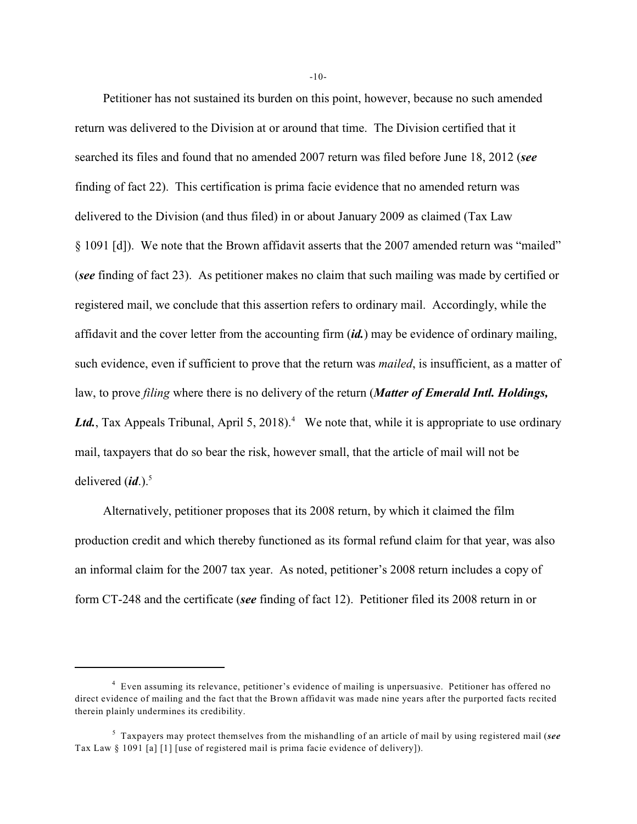Petitioner has not sustained its burden on this point, however, because no such amended return was delivered to the Division at or around that time. The Division certified that it searched its files and found that no amended 2007 return was filed before June 18, 2012 (*see* finding of fact 22). This certification is prima facie evidence that no amended return was delivered to the Division (and thus filed) in or about January 2009 as claimed (Tax Law § 1091 [d]). We note that the Brown affidavit asserts that the 2007 amended return was "mailed" (*see* finding of fact 23). As petitioner makes no claim that such mailing was made by certified or registered mail, we conclude that this assertion refers to ordinary mail. Accordingly, while the affidavit and the cover letter from the accounting firm (*id.*) may be evidence of ordinary mailing, such evidence, even if sufficient to prove that the return was *mailed*, is insufficient, as a matter of law, to prove *filing* where there is no delivery of the return (*Matter of Emerald Intl. Holdings,* Ltd., Tax Appeals Tribunal, April 5, 2018).<sup>4</sup> We note that, while it is appropriate to use ordinary mail, taxpayers that do so bear the risk, however small, that the article of mail will not be delivered (*id*.).<sup>5</sup>

Alternatively, petitioner proposes that its 2008 return, by which it claimed the film production credit and which thereby functioned as its formal refund claim for that year, was also an informal claim for the 2007 tax year. As noted, petitioner's 2008 return includes a copy of form CT-248 and the certificate (*see* finding of fact 12). Petitioner filed its 2008 return in or

-10-

<sup>&</sup>lt;sup>4</sup> Even assuming its relevance, petitioner's evidence of mailing is unpersuasive. Petitioner has offered no direct evidence of mailing and the fact that the Brown affidavit was made nine years after the purported facts recited therein plainly undermines its credibility.

<sup>&</sup>lt;sup>5</sup> Taxpayers may protect themselves from the mishandling of an article of mail by using registered mail (*see* Tax Law § 1091 [a] [1] [use of registered mail is prima facie evidence of delivery]).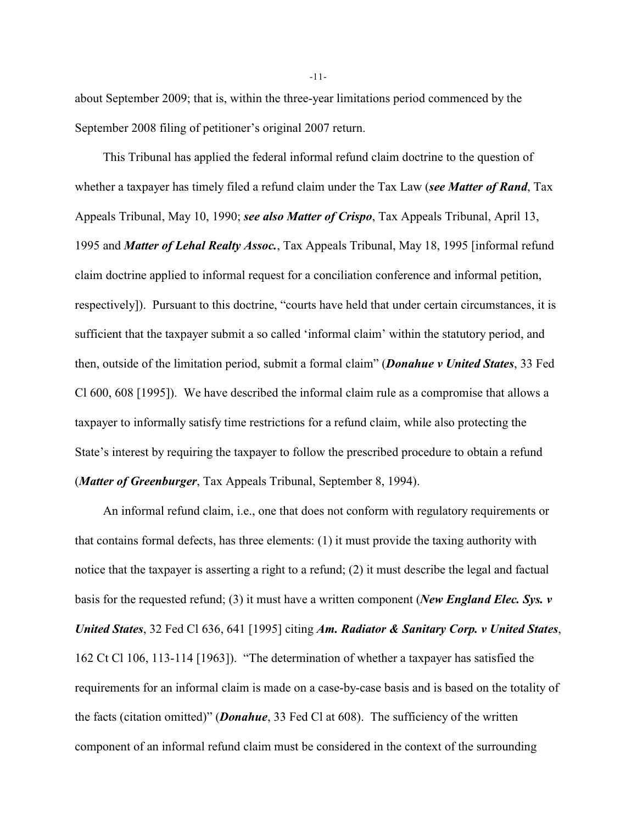about September 2009; that is, within the three-year limitations period commenced by the September 2008 filing of petitioner's original 2007 return.

This Tribunal has applied the federal informal refund claim doctrine to the question of whether a taxpayer has timely filed a refund claim under the Tax Law (*see Matter of Rand*, Tax Appeals Tribunal, May 10, 1990; *see also Matter of Crispo*, Tax Appeals Tribunal, April 13, 1995 and *Matter of Lehal Realty Assoc.*, Tax Appeals Tribunal, May 18, 1995 [informal refund claim doctrine applied to informal request for a conciliation conference and informal petition, respectively]). Pursuant to this doctrine, "courts have held that under certain circumstances, it is sufficient that the taxpayer submit a so called 'informal claim' within the statutory period, and then, outside of the limitation period, submit a formal claim" (*Donahue v United States*, 33 Fed Cl 600, 608 [1995]). We have described the informal claim rule as a compromise that allows a taxpayer to informally satisfy time restrictions for a refund claim, while also protecting the State's interest by requiring the taxpayer to follow the prescribed procedure to obtain a refund (*Matter of Greenburger*, Tax Appeals Tribunal, September 8, 1994).

An informal refund claim, i.e., one that does not conform with regulatory requirements or that contains formal defects, has three elements: (1) it must provide the taxing authority with notice that the taxpayer is asserting a right to a refund; (2) it must describe the legal and factual basis for the requested refund; (3) it must have a written component (*New England Elec. Sys. v United States*, 32 Fed Cl 636, 641 [1995] citing *Am. Radiator & Sanitary Corp. v United States*, 162 Ct Cl 106, 113-114 [1963]). "The determination of whether a taxpayer has satisfied the requirements for an informal claim is made on a case-by-case basis and is based on the totality of the facts (citation omitted)" (*Donahue*, 33 Fed Cl at 608). The sufficiency of the written component of an informal refund claim must be considered in the context of the surrounding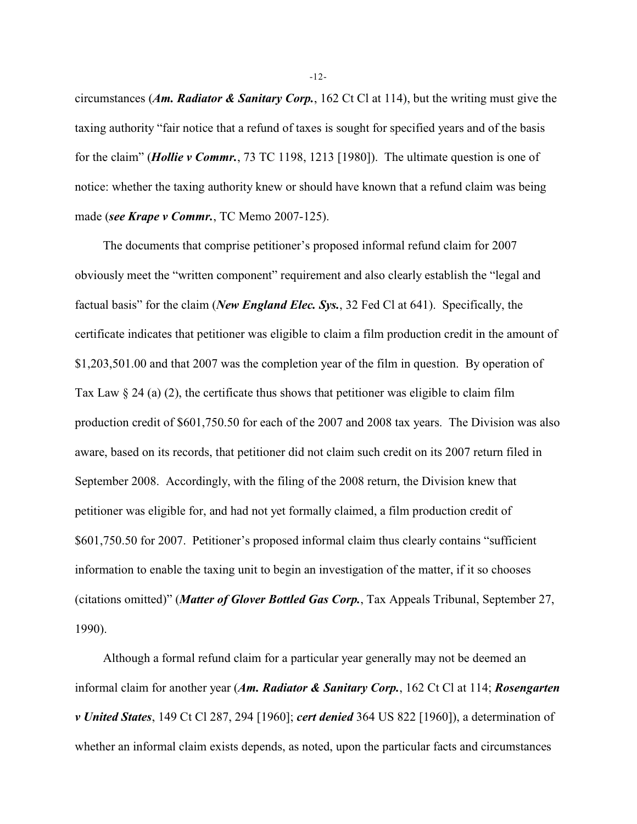circumstances (*Am. Radiator & Sanitary Corp.*, 162 Ct Cl at 114), but the writing must give the taxing authority "fair notice that a refund of taxes is sought for specified years and of the basis for the claim" (*Hollie v Commr.*, 73 TC 1198, 1213 [1980]). The ultimate question is one of notice: whether the taxing authority knew or should have known that a refund claim was being made (*see Krape v Commr.*, TC Memo 2007-125).

The documents that comprise petitioner's proposed informal refund claim for 2007 obviously meet the "written component" requirement and also clearly establish the "legal and factual basis" for the claim (*New England Elec. Sys.*, 32 Fed Cl at 641). Specifically, the certificate indicates that petitioner was eligible to claim a film production credit in the amount of \$1,203,501.00 and that 2007 was the completion year of the film in question. By operation of Tax Law  $\S 24$  (a) (2), the certificate thus shows that petitioner was eligible to claim film production credit of \$601,750.50 for each of the 2007 and 2008 tax years. The Division was also aware, based on its records, that petitioner did not claim such credit on its 2007 return filed in September 2008. Accordingly, with the filing of the 2008 return, the Division knew that petitioner was eligible for, and had not yet formally claimed, a film production credit of \$601,750.50 for 2007. Petitioner's proposed informal claim thus clearly contains "sufficient information to enable the taxing unit to begin an investigation of the matter, if it so chooses (citations omitted)" (*Matter of Glover Bottled Gas Corp.*, Tax Appeals Tribunal, September 27, 1990).

Although a formal refund claim for a particular year generally may not be deemed an informal claim for another year (*Am. Radiator & Sanitary Corp.*, 162 Ct Cl at 114; *Rosengarten v United States*, 149 Ct Cl 287, 294 [1960]; *cert denied* 364 US 822 [1960]), a determination of whether an informal claim exists depends, as noted, upon the particular facts and circumstances

-12-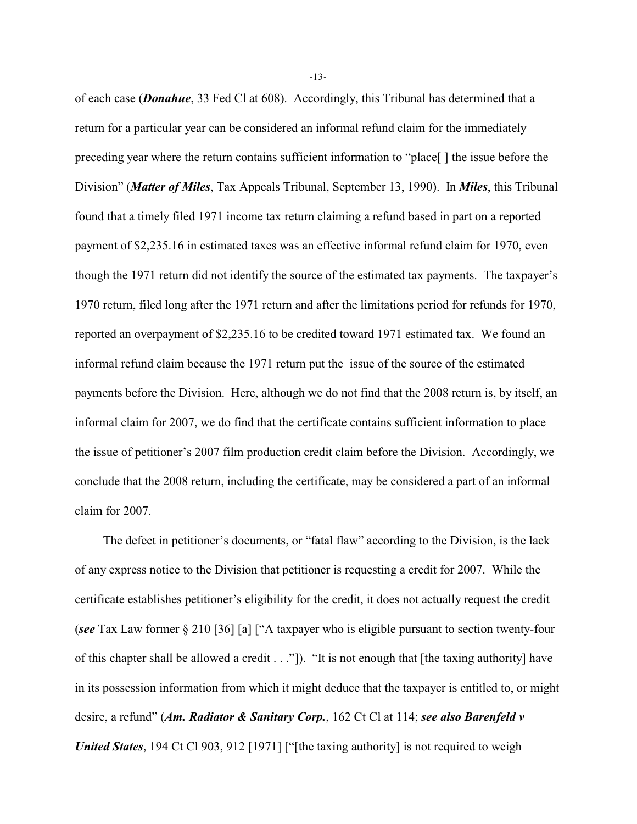of each case (*Donahue*, 33 Fed Cl at 608). Accordingly, this Tribunal has determined that a return for a particular year can be considered an informal refund claim for the immediately preceding year where the return contains sufficient information to "place[ ] the issue before the Division" (*Matter of Miles*, Tax Appeals Tribunal, September 13, 1990). In *Miles*, this Tribunal found that a timely filed 1971 income tax return claiming a refund based in part on a reported payment of \$2,235.16 in estimated taxes was an effective informal refund claim for 1970, even though the 1971 return did not identify the source of the estimated tax payments. The taxpayer's 1970 return, filed long after the 1971 return and after the limitations period for refunds for 1970, reported an overpayment of \$2,235.16 to be credited toward 1971 estimated tax. We found an informal refund claim because the 1971 return put the issue of the source of the estimated payments before the Division. Here, although we do not find that the 2008 return is, by itself, an informal claim for 2007, we do find that the certificate contains sufficient information to place the issue of petitioner's 2007 film production credit claim before the Division. Accordingly, we conclude that the 2008 return, including the certificate, may be considered a part of an informal claim for 2007.

The defect in petitioner's documents, or "fatal flaw" according to the Division, is the lack of any express notice to the Division that petitioner is requesting a credit for 2007. While the certificate establishes petitioner's eligibility for the credit, it does not actually request the credit (*see* Tax Law former § 210 [36] [a] ["A taxpayer who is eligible pursuant to section twenty-four of this chapter shall be allowed a credit . . ."]). "It is not enough that [the taxing authority] have in its possession information from which it might deduce that the taxpayer is entitled to, or might desire, a refund" (*Am. Radiator & Sanitary Corp.*, 162 Ct Cl at 114; *see also Barenfeld v United States*, 194 Ct Cl 903, 912 [1971] ["[the taxing authority] is not required to weigh

-13-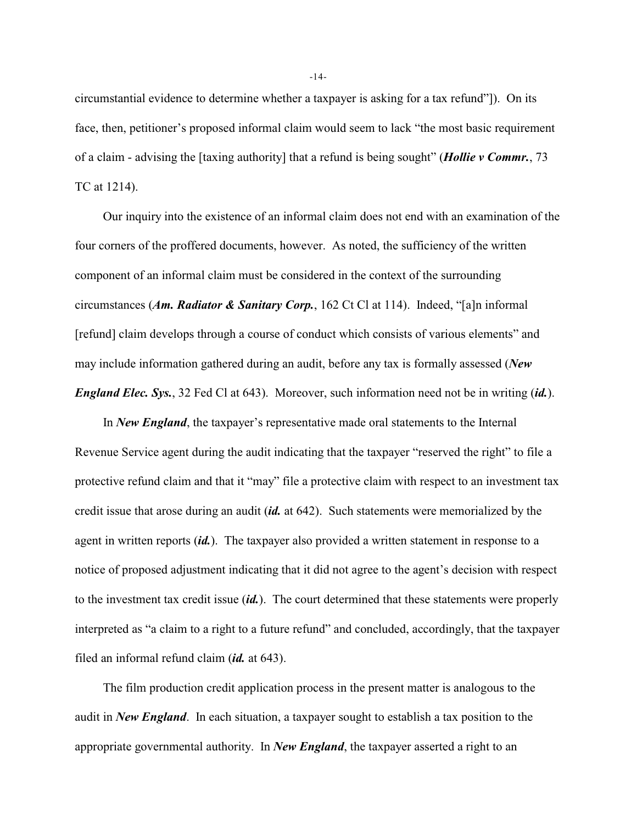circumstantial evidence to determine whether a taxpayer is asking for a tax refund"]). On its face, then, petitioner's proposed informal claim would seem to lack "the most basic requirement of a claim - advising the [taxing authority] that a refund is being sought" (*Hollie v Commr.*, 73 TC at 1214).

Our inquiry into the existence of an informal claim does not end with an examination of the four corners of the proffered documents, however. As noted, the sufficiency of the written component of an informal claim must be considered in the context of the surrounding circumstances (*Am. Radiator & Sanitary Corp.*, 162 Ct Cl at 114). Indeed, "[a]n informal [refund] claim develops through a course of conduct which consists of various elements" and may include information gathered during an audit, before any tax is formally assessed (*New England Elec. Sys.*, 32 Fed Cl at 643). Moreover, such information need not be in writing (*id.*).

In *New England*, the taxpayer's representative made oral statements to the Internal Revenue Service agent during the audit indicating that the taxpayer "reserved the right" to file a protective refund claim and that it "may" file a protective claim with respect to an investment tax credit issue that arose during an audit (*id.* at 642). Such statements were memorialized by the agent in written reports (*id.*). The taxpayer also provided a written statement in response to a notice of proposed adjustment indicating that it did not agree to the agent's decision with respect to the investment tax credit issue (*id.*). The court determined that these statements were properly interpreted as "a claim to a right to a future refund" and concluded, accordingly, that the taxpayer filed an informal refund claim (*id.* at 643).

The film production credit application process in the present matter is analogous to the audit in *New England*. In each situation, a taxpayer sought to establish a tax position to the appropriate governmental authority. In *New England*, the taxpayer asserted a right to an

-14-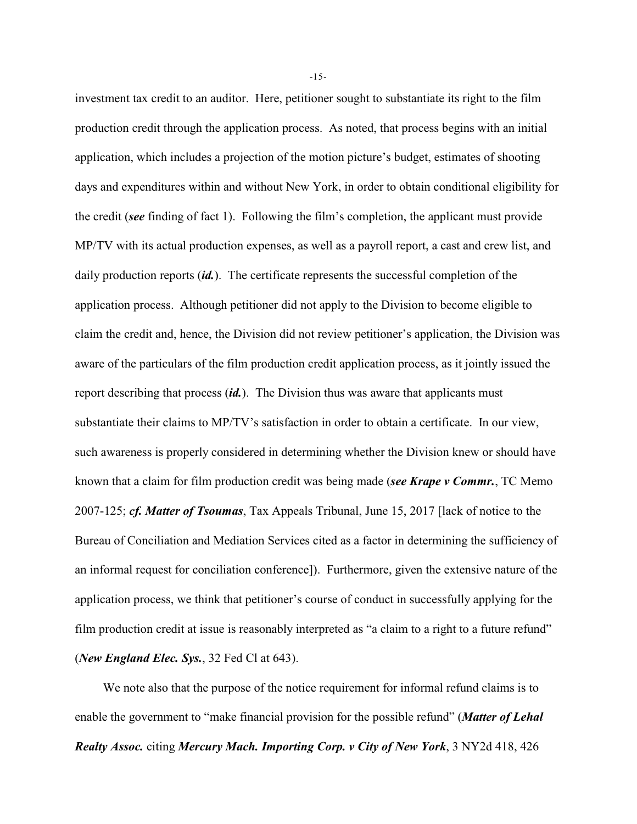investment tax credit to an auditor. Here, petitioner sought to substantiate its right to the film production credit through the application process. As noted, that process begins with an initial application, which includes a projection of the motion picture's budget, estimates of shooting days and expenditures within and without New York, in order to obtain conditional eligibility for the credit (*see* finding of fact 1). Following the film's completion, the applicant must provide MP/TV with its actual production expenses, as well as a payroll report, a cast and crew list, and daily production reports *(id.)*. The certificate represents the successful completion of the application process. Although petitioner did not apply to the Division to become eligible to claim the credit and, hence, the Division did not review petitioner's application, the Division was aware of the particulars of the film production credit application process, as it jointly issued the report describing that process (*id.*). The Division thus was aware that applicants must substantiate their claims to MP/TV's satisfaction in order to obtain a certificate. In our view, such awareness is properly considered in determining whether the Division knew or should have known that a claim for film production credit was being made (*see Krape v Commr.*, TC Memo 2007-125; *cf. Matter of Tsoumas*, Tax Appeals Tribunal, June 15, 2017 [lack of notice to the Bureau of Conciliation and Mediation Services cited as a factor in determining the sufficiency of an informal request for conciliation conference]). Furthermore, given the extensive nature of the application process, we think that petitioner's course of conduct in successfully applying for the film production credit at issue is reasonably interpreted as "a claim to a right to a future refund" (*New England Elec. Sys.*, 32 Fed Cl at 643).

We note also that the purpose of the notice requirement for informal refund claims is to enable the government to "make financial provision for the possible refund" (*Matter of Lehal Realty Assoc.* citing *Mercury Mach. Importing Corp. v City of New York*, 3 NY2d 418, 426

-15-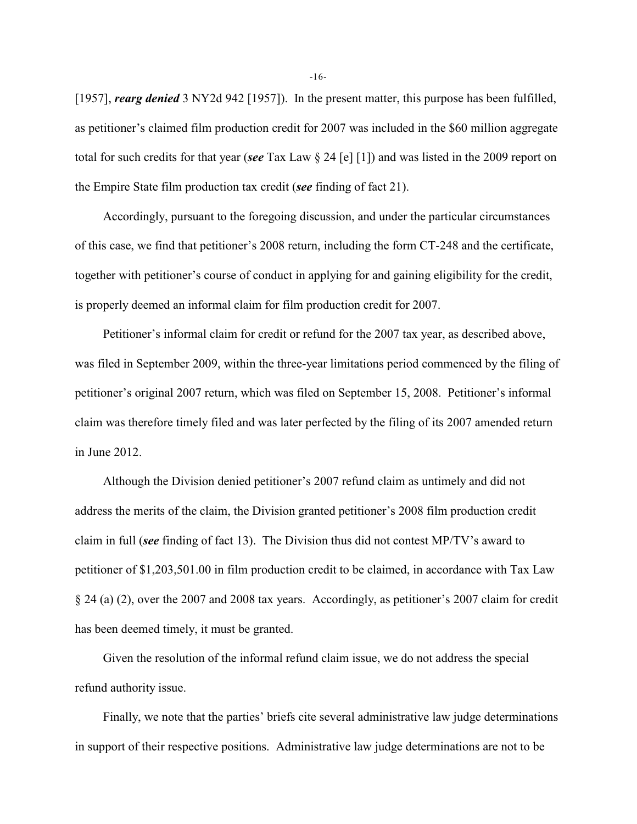[1957], *rearg denied* 3 NY2d 942 [1957]). In the present matter, this purpose has been fulfilled, as petitioner's claimed film production credit for 2007 was included in the \$60 million aggregate total for such credits for that year (*see* Tax Law § 24 [e] [1]) and was listed in the 2009 report on the Empire State film production tax credit (*see* finding of fact 21).

Accordingly, pursuant to the foregoing discussion, and under the particular circumstances of this case, we find that petitioner's 2008 return, including the form CT-248 and the certificate, together with petitioner's course of conduct in applying for and gaining eligibility for the credit, is properly deemed an informal claim for film production credit for 2007.

Petitioner's informal claim for credit or refund for the 2007 tax year, as described above, was filed in September 2009, within the three-year limitations period commenced by the filing of petitioner's original 2007 return, which was filed on September 15, 2008. Petitioner's informal claim was therefore timely filed and was later perfected by the filing of its 2007 amended return in June 2012.

Although the Division denied petitioner's 2007 refund claim as untimely and did not address the merits of the claim, the Division granted petitioner's 2008 film production credit claim in full (*see* finding of fact 13). The Division thus did not contest MP/TV's award to petitioner of \$1,203,501.00 in film production credit to be claimed, in accordance with Tax Law § 24 (a) (2), over the 2007 and 2008 tax years. Accordingly, as petitioner's 2007 claim for credit has been deemed timely, it must be granted.

Given the resolution of the informal refund claim issue, we do not address the special refund authority issue.

Finally, we note that the parties' briefs cite several administrative law judge determinations in support of their respective positions. Administrative law judge determinations are not to be

-16-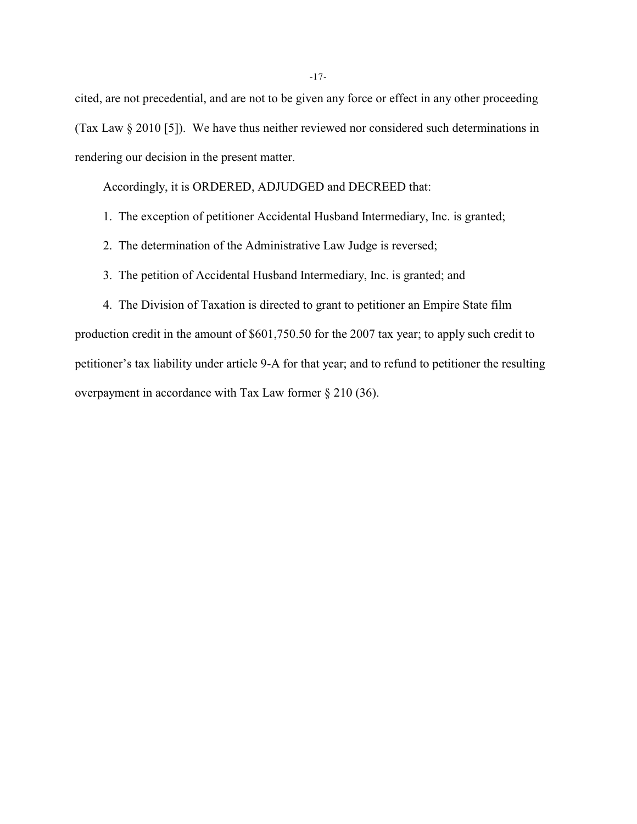cited, are not precedential, and are not to be given any force or effect in any other proceeding (Tax Law § 2010 [5]). We have thus neither reviewed nor considered such determinations in rendering our decision in the present matter.

Accordingly, it is ORDERED, ADJUDGED and DECREED that:

- 1. The exception of petitioner Accidental Husband Intermediary, Inc. is granted;
- 2. The determination of the Administrative Law Judge is reversed;
- 3. The petition of Accidental Husband Intermediary, Inc. is granted; and

4. The Division of Taxation is directed to grant to petitioner an Empire State film production credit in the amount of \$601,750.50 for the 2007 tax year; to apply such credit to petitioner's tax liability under article 9-A for that year; and to refund to petitioner the resulting overpayment in accordance with Tax Law former § 210 (36).